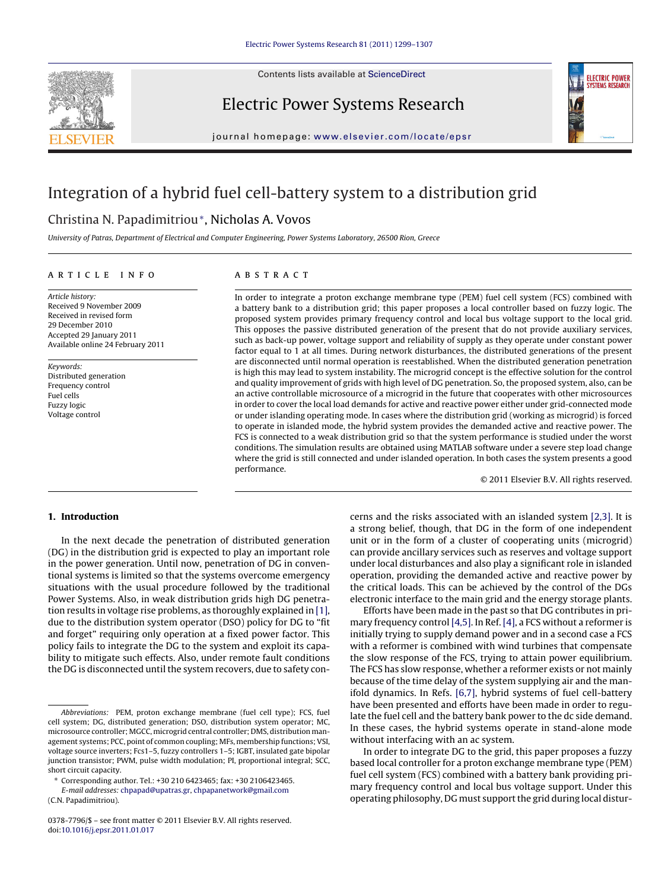

Contents lists available at [ScienceDirect](http://www.sciencedirect.com/science/journal/03787796)

# Electric Power Systems Research



journal homepage: [www.elsevier.com/locate/epsr](http://www.elsevier.com/locate/epsr)

# Integration of a hybrid fuel cell-battery system to a distribution grid

# Christina N. Papadimitriou∗, Nicholas A. Vovos

University of Patras, Department of Electrical and Computer Engineering, Power Systems Laboratory, 26500 Rion, Greece

#### article info

Article history: Received 9 November 2009 Received in revised form 29 December 2010 Accepted 29 January 2011 Available online 24 February 2011

Keywords: Distributed generation Frequency control Fuel cells Fuzzy logic Voltage control

## ABSTRACT

In order to integrate a proton exchange membrane type (PEM) fuel cell system (FCS) combined with a battery bank to a distribution grid; this paper proposes a local controller based on fuzzy logic. The proposed system provides primary frequency control and local bus voltage support to the local grid. This opposes the passive distributed generation of the present that do not provide auxiliary services, such as back-up power, voltage support and reliability of supply as they operate under constant power factor equal to 1 at all times. During network disturbances, the distributed generations of the present are disconnected until normal operation is reestablished. When the distributed generation penetration is high this may lead to system instability. The microgrid concept is the effective solution for the control and quality improvement of grids with high level of DG penetration. So, the proposed system, also, can be an active controllable microsource of a microgrid in the future that cooperates with other microsources in order to cover the local load demands for active and reactive power either under grid-connected mode or under islanding operating mode. In cases where the distribution grid (working as microgrid) is forced to operate in islanded mode, the hybrid system provides the demanded active and reactive power. The FCS is connected to a weak distribution grid so that the system performance is studied under the worst conditions. The simulation results are obtained using MATLAB software under a severe step load change where the grid is still connected and under islanded operation. In both cases the system presents a good performance.

© 2011 Elsevier B.V. All rights reserved.

## **1. Introduction**

In the next decade the penetration of distributed generation (DG) in the distribution grid is expected to play an important role in the power generation. Until now, penetration of DG in conventional systems is limited so that the systems overcome emergency situations with the usual procedure followed by the traditional Power Systems. Also, in weak distribution grids high DG penetration results in voltage rise problems, as thoroughly explained in [\[1\],](#page--1-0) due to the distribution system operator (DSO) policy for DG to "fit and forget" requiring only operation at a fixed power factor. This policy fails to integrate the DG to the system and exploit its capability to mitigate such effects. Also, under remote fault conditions the DG is disconnected until the system recovers, due to safety concerns and the risks associated with an islanded system [\[2,3\]. I](#page--1-0)t is a strong belief, though, that DG in the form of one independent unit or in the form of a cluster of cooperating units (microgrid) can provide ancillary services such as reserves and voltage support under local disturbances and also play a significant role in islanded operation, providing the demanded active and reactive power by the critical loads. This can be achieved by the control of the DGs electronic interface to the main grid and the energy storage plants.

Efforts have been made in the past so that DG contributes in primary frequency control [\[4,5\]. I](#page--1-0)n Ref. [\[4\], a](#page--1-0) FCS without a reformer is initially trying to supply demand power and in a second case a FCS with a reformer is combined with wind turbines that compensate the slow response of the FCS, trying to attain power equilibrium. The FCS has slow response, whether a reformer exists or not mainly because of the time delay of the system supplying air and the manifold dynamics. In Refs. [\[6,7\], h](#page--1-0)ybrid systems of fuel cell-battery have been presented and efforts have been made in order to regulate the fuel cell and the battery bank power to the dc side demand. In these cases, the hybrid systems operate in stand-alone mode without interfacing with an ac system.

In order to integrate DG to the grid, this paper proposes a fuzzy based local controller for a proton exchange membrane type (PEM) fuel cell system (FCS) combined with a battery bank providing primary frequency control and local bus voltage support. Under this operating philosophy, DG must support the grid during local distur-

Abbreviations: PEM, proton exchange membrane (fuel cell type); FCS, fuel cell system; DG, distributed generation; DSO, distribution system operator; MC, microsource controller; MGCC, microgrid central controller; DMS, distribution management systems; PCC, point of common coupling; MFs, membership functions; VSI, voltage source inverters; Fcs1–5, fuzzy controllers 1–5; IGBT, insulated gate bipolar junction transistor; PWM, pulse width modulation; PI, proportional integral; SCC, short circuit capacity.

<sup>∗</sup> Corresponding author. Tel.: +30 210 6423465; fax: +30 2106423465.

E-mail addresses: [chpapad@upatras.gr,](mailto:chpapad@upatras.gr) [chpapanetwork@gmail.com](mailto:chpapanetwork@gmail.com) (C.N. Papadimitriou).

<sup>0378-7796/\$ –</sup> see front matter © 2011 Elsevier B.V. All rights reserved. doi:[10.1016/j.epsr.2011.01.017](dx.doi.org/10.1016/j.epsr.2011.01.017)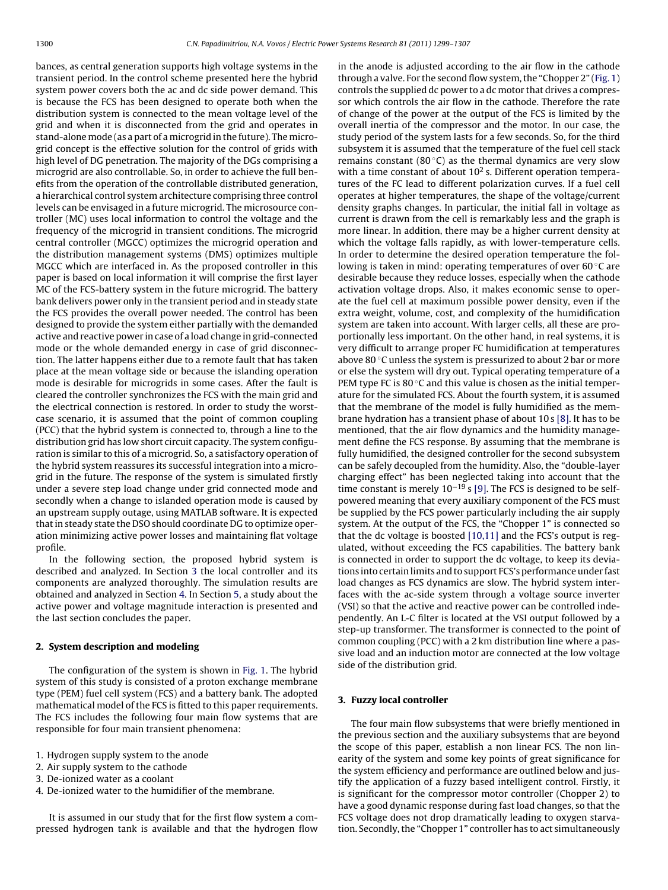bances, as central generation supports high voltage systems in the transient period. In the control scheme presented here the hybrid system power covers both the ac and dc side power demand. This is because the FCS has been designed to operate both when the distribution system is connected to the mean voltage level of the grid and when it is disconnected from the grid and operates in stand-alone mode (as a part of a microgrid in the future). The microgrid concept is the effective solution for the control of grids with high level of DG penetration. The majority of the DGs comprising a microgrid are also controllable. So, in order to achieve the full benefits from the operation of the controllable distributed generation, a hierarchical control system architecture comprising three control levels can be envisaged in a future microgrid. The microsource controller (MC) uses local information to control the voltage and the frequency of the microgrid in transient conditions. The microgrid central controller (MGCC) optimizes the microgrid operation and the distribution management systems (DMS) optimizes multiple MGCC which are interfaced in. As the proposed controller in this paper is based on local information it will comprise the first layer MC of the FCS-battery system in the future microgrid. The battery bank delivers power only in the transient period and in steady state the FCS provides the overall power needed. The control has been designed to provide the system either partially with the demanded active and reactive power in case of a load change in grid-connected mode or the whole demanded energy in case of grid disconnection. The latter happens either due to a remote fault that has taken place at the mean voltage side or because the islanding operation mode is desirable for microgrids in some cases. After the fault is cleared the controller synchronizes the FCS with the main grid and the electrical connection is restored. In order to study the worstcase scenario, it is assumed that the point of common coupling (PCC) that the hybrid system is connected to, through a line to the distribution grid has low short circuit capacity. The system configuration is similar to this of a microgrid. So, a satisfactory operation of the hybrid system reassures its successful integration into a microgrid in the future. The response of the system is simulated firstly under a severe step load change under grid connected mode and secondly when a change to islanded operation mode is caused by an upstream supply outage, using MATLAB software. It is expected that in steady state the DSO should coordinate DG to optimize operation minimizing active power losses and maintaining flat voltage profile.

In the following section, the proposed hybrid system is described and analyzed. In Section 3 the local controller and its components are analyzed thoroughly. The simulation results are obtained and analyzed in Section [4. I](#page--1-0)n Section [5, a](#page--1-0) study about the active power and voltage magnitude interaction is presented and the last section concludes the paper.

#### **2. System description and modeling**

The configuration of the system is shown in [Fig. 1. T](#page--1-0)he hybrid system of this study is consisted of a proton exchange membrane type (PEM) fuel cell system (FCS) and a battery bank. The adopted mathematical model of the FCS is fitted to this paper requirements. The FCS includes the following four main flow systems that are responsible for four main transient phenomena:

- 1. Hydrogen supply system to the anode
- 2. Air supply system to the cathode
- 3. De-ionized water as a coolant
- 4. De-ionized water to the humidifier of the membrane.

It is assumed in our study that for the first flow system a compressed hydrogen tank is available and that the hydrogen flow in the anode is adjusted according to the air flow in the cathode through a valve. For the second flow system, the "Chopper 2" ([Fig. 1\)](#page--1-0) controls the supplied dc power to a dc motor that drives a compressor which controls the air flow in the cathode. Therefore the rate of change of the power at the output of the FCS is limited by the overall inertia of the compressor and the motor. In our case, the study period of the system lasts for a few seconds. So, for the third subsystem it is assumed that the temperature of the fuel cell stack remains constant (80 $^{\circ}$ C) as the thermal dynamics are very slow with a time constant of about  $10<sup>2</sup>$  s. Different operation temperatures of the FC lead to different polarization curves. If a fuel cell operates at higher temperatures, the shape of the voltage/current density graphs changes. In particular, the initial fall in voltage as current is drawn from the cell is remarkably less and the graph is more linear. In addition, there may be a higher current density at which the voltage falls rapidly, as with lower-temperature cells. In order to determine the desired operation temperature the following is taken in mind: operating temperatures of over  $60^{\circ}$ C are desirable because they reduce losses, especially when the cathode activation voltage drops. Also, it makes economic sense to operate the fuel cell at maximum possible power density, even if the extra weight, volume, cost, and complexity of the humidification system are taken into account. With larger cells, all these are proportionally less important. On the other hand, in real systems, it is very difficult to arrange proper FC humidification at temperatures above 80 $\degree$ C unless the system is pressurized to about 2 bar or more or else the system will dry out. Typical operating temperature of a PEM type FC is  $80^{\circ}$ C and this value is chosen as the initial temperature for the simulated FCS. About the fourth system, it is assumed that the membrane of the model is fully humidified as the membrane hydration has a transient phase of about 10 s [\[8\]. I](#page--1-0)t has to be mentioned, that the air flow dynamics and the humidity management define the FCS response. By assuming that the membrane is fully humidified, the designed controller for the second subsystem can be safely decoupled from the humidity. Also, the "double-layer charging effect" has been neglected taking into account that the time constant is merely  $10^{-19}$  s [\[9\]. T](#page--1-0)he FCS is designed to be selfpowered meaning that every auxiliary component of the FCS must be supplied by the FCS power particularly including the air supply system. At the output of the FCS, the "Chopper 1" is connected so that the dc voltage is boosted [\[10,11\]](#page--1-0) and the FCS's output is regulated, without exceeding the FCS capabilities. The battery bank is connected in order to support the dc voltage, to keep its deviations into certain limits and to support FCS's performance under fast load changes as FCS dynamics are slow. The hybrid system interfaces with the ac-side system through a voltage source inverter (VSI) so that the active and reactive power can be controlled independently. An L-C filter is located at the VSI output followed by a step-up transformer. The transformer is connected to the point of common coupling (PCC) with a 2 km distribution line where a passive load and an induction motor are connected at the low voltage side of the distribution grid.

### **3. Fuzzy local controller**

The four main flow subsystems that were briefly mentioned in the previous section and the auxiliary subsystems that are beyond the scope of this paper, establish a non linear FCS. The non linearity of the system and some key points of great significance for the system efficiency and performance are outlined below and justify the application of a fuzzy based intelligent control. Firstly, it is significant for the compressor motor controller (Chopper 2) to have a good dynamic response during fast load changes, so that the FCS voltage does not drop dramatically leading to oxygen starvation. Secondly, the "Chopper 1" controller has to act simultaneously